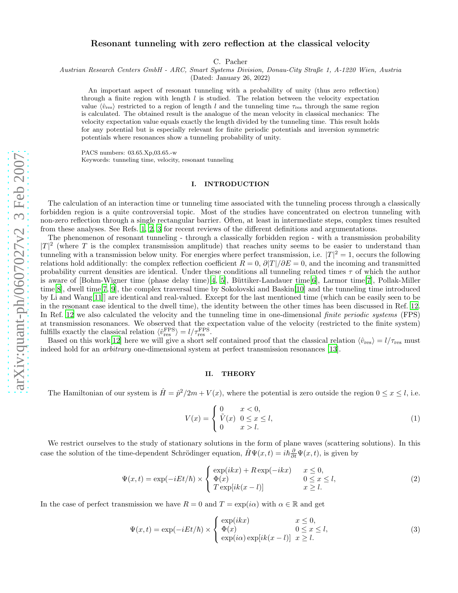# Resonant tunneling with zero reflection at the classical velocity

C. Pacher

Austrian Research Centers GmbH - ARC, Smart Systems Division, Donau-City Straße 1, A-1220 Wien, Austria

(Dated: January 26, 2022)

An important aspect of resonant tunneling with a probability of unity (thus zero reflection) through a finite region with length  $l$  is studied. The relation between the velocity expectation value  $\langle \hat{v}_{\text{res}} \rangle$  restricted to a region of length l and the tunneling time  $\tau_{\text{res}}$  through the same region is calculated. The obtained result is the analogue of the mean velocity in classical mechanics: The velocity expectation value equals exactly the length divided by the tunneling time. This result holds for any potential but is especially relevant for finite periodic potentials and inversion symmetric potentials where resonances show a tunneling probability of unity.

PACS numbers: 03.65.Xp,03.65.-w Keywords: tunneling time, velocity, resonant tunneling

## I. INTRODUCTION

The calculation of an interaction time or tunneling time associated with the tunneling process through a classically forbidden region is a quite controversial topic. Most of the studies have concentrated on electron tunneling with non-zero reflection through a single rectangular barrier. Often, at least in intermediate steps, complex times resulted from these analyses. See Refs. [1,](#page-2-0) [2,](#page-2-1) [3](#page-2-2) for recent reviews of the different definitions and argumentations.

The phenomenon of resonant tunneling - through a classically forbidden region - with a transmission probability  $|T|^2$  (where T is the complex transmission amplitude) that reaches unity seems to be easier to understand than tunneling with a transmission below unity. For energies where perfect transmission, i.e.  $|T|^2 = 1$ , occurs the following relations hold additionally: the complex reflection coefficient  $R = 0$ ,  $\partial |T|/\partial E = 0$ , and the incoming and transmitted probability current densities are identical. Under these conditions all tunneling related times  $\tau$  of which the author is aware of [Bohm-Wigner time (phase delay time)[\[4](#page-2-3), [5](#page-2-4)], Büttiker-Landauer time[\[6](#page-3-0)], Larmor time[\[7\]](#page-3-1), Pollak-Miller time[\[8](#page-3-2)], dwell time[\[7,](#page-3-1) [9\]](#page-3-3), the complex traversal time by Sokolovski and Baskin[\[10](#page-3-4)] and the tunneling time introduced by Li and Wang[\[11](#page-3-5)]] are identical and real-valued. Except for the last mentioned time (which can be easily seen to be in the resonant case identical to the dwell time), the identity between the other times has been discussed in Ref. [12](#page-3-6). In Ref. [12](#page-3-6) we also calculated the velocity and the tunneling time in one-dimensional *finite periodic systems* (FPS) at transmission resonances. We observed that the expectation value of the velocity (restricted to the finite system) fulfills exactly the classical relation  $\langle \hat{v}_{\text{res}}^{\text{FPS}} \rangle = l / \tau_{\text{res}}^{\text{FPS}}$ .

Based on this work[\[12\]](#page-3-6) here we will give a short self contained proof that the classical relation  $\langle \hat{v}_{\text{res}} \rangle = l/\tau_{\text{res}}$  must indeed hold for an arbitrary one-dimensional system at perfect transmission resonances [\[13\]](#page-3-7).

### II. THEORY

The Hamiltonian of our system is  $\hat{H} = \hat{p}^2/2m + V(x)$ , where the potential is zero outside the region  $0 \le x \le l$ , i.e.

$$
V(x) = \begin{cases} 0 & x < 0, \\ \tilde{V}(x) & 0 \le x \le l, \\ 0 & x > l. \end{cases}
$$
 (1)

We restrict ourselves to the study of stationary solutions in the form of plane waves (scattering solutions). In this case the solution of the time-dependent Schrödinger equation,  $\hat{H}\Psi(x,t) = i\hbar\frac{\partial}{\partial t}\Psi(x,t)$ , is given by

$$
\Psi(x,t) = \exp(-iEt/\hbar) \times \begin{cases} \exp(ikx) + R\exp(-ikx) & x \le 0, \\ \Phi(x) & 0 \le x \le l, \\ T\exp[ik(x-l)] & x \ge l. \end{cases}
$$
\n(2)

In the case of perfect transmission we have  $R = 0$  and  $T = \exp(i\alpha)$  with  $\alpha \in \mathbb{R}$  and get

<span id="page-0-0"></span>
$$
\Psi(x,t) = \exp(-iEt/\hbar) \times \begin{cases} \exp(ikx) & x \leq 0, \\ \Phi(x) & 0 \leq x \leq l, \\ \exp(i\alpha)\exp[ik(x-l)] & x \geq l. \end{cases}
$$
\n(3)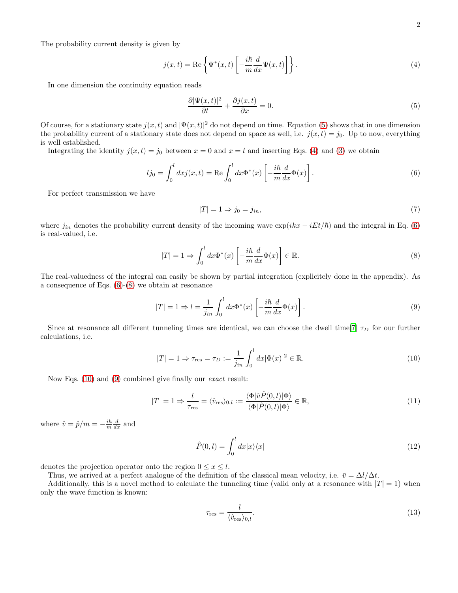The probability current density is given by

<span id="page-1-1"></span>
$$
j(x,t) = \text{Re}\left\{\Psi^*(x,t)\left[-\frac{i\hbar}{m}\frac{d}{dx}\Psi(x,t)\right]\right\}.
$$
 (4)

In one dimension the continuity equation reads

<span id="page-1-0"></span>
$$
\frac{\partial |\Psi(x,t)|^2}{\partial t} + \frac{\partial j(x,t)}{\partial x} = 0.
$$
\n(5)

Of course, for a stationary state  $j(x,t)$  and  $|\Psi(x,t)|^2$  do not depend on time. Equation [\(5\)](#page-1-0) shows that in one dimension the probability current of a stationary state does not depend on space as well, i.e.  $j(x, t) = j_0$ . Up to now, everything is well established.

Integrating the identity  $j(x, t) = j_0$  between  $x = 0$  and  $x = l$  and inserting Eqs. [\(4\)](#page-1-1) and [\(3\)](#page-0-0) we obtain

<span id="page-1-2"></span>
$$
lj_0 = \int_0^l dx j(x, t) = \text{Re} \int_0^l dx \Phi^*(x) \left[ -\frac{i\hbar}{m} \frac{d}{dx} \Phi(x) \right]. \tag{6}
$$

For perfect transmission we have

$$
|T| = 1 \Rightarrow j_0 = j_{in},\tag{7}
$$

where  $j_{in}$  denotes the probability current density of the incoming wave  $\exp(ikx - iEt/\hbar)$  and the integral in Eq. [\(6\)](#page-1-2) is real-valued, i.e.

<span id="page-1-3"></span>
$$
|T| = 1 \Rightarrow \int_0^l dx \Phi^*(x) \left[ -\frac{i\hbar}{m} \frac{d}{dx} \Phi(x) \right] \in \mathbb{R}.
$$
 (8)

The real-valuedness of the integral can easily be shown by partial integration (explicitely done in the appendix). As a consequence of Eqs. [\(6\)](#page-1-2)-[\(8\)](#page-1-3) we obtain at resonance

<span id="page-1-5"></span>
$$
|T| = 1 \Rightarrow l = \frac{1}{j_{in}} \int_0^l dx \Phi^*(x) \left[ -\frac{i\hbar}{m} \frac{d}{dx} \Phi(x) \right]. \tag{9}
$$

Since at resonance all different tunneling times are identical, we can choose the dwell time[\[7](#page-3-1)]  $\tau_D$  for our further calculations, i.e.

<span id="page-1-4"></span>
$$
|T| = 1 \Rightarrow \tau_{\text{res}} = \tau_D := \frac{1}{j_{in}} \int_0^l dx |\Phi(x)|^2 \in \mathbb{R}.
$$
 (10)

Now Eqs. [\(10\)](#page-1-4) and [\(9\)](#page-1-5) combined give finally our *exact* result:

$$
|T| = 1 \Rightarrow \frac{l}{\tau_{\text{res}}} = \langle \hat{v}_{\text{res}} \rangle_{0,l} := \frac{\langle \Phi | \hat{v} \hat{P}(0,l) | \Phi \rangle}{\langle \Phi | \hat{P}(0,l) | \Phi \rangle} \in \mathbb{R},\tag{11}
$$

where  $\hat{v} = \hat{p}/m = -\frac{i\hbar}{m}\frac{d}{dx}$  and

$$
\hat{P}(0,l) = \int_0^l dx |x\rangle\langle x| \tag{12}
$$

denotes the projection operator onto the region  $0 \leq x \leq l$ .

Thus, we arrived at a perfect analogue of the definition of the classical mean velocity, i.e.  $\bar{v} = \Delta l/\Delta t$ .

Additionally, this is a novel method to calculate the tunneling time (valid only at a resonance with  $|T| = 1$ ) when only the wave function is known:

$$
\tau_{\rm res} = \frac{l}{\langle \hat{v}_{\rm res} \rangle_{0,l}}.\tag{13}
$$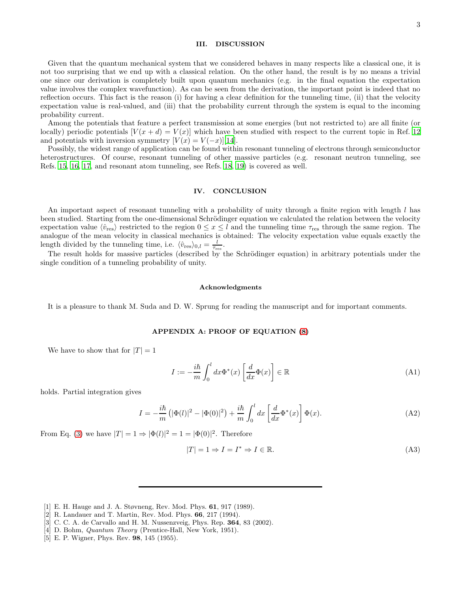### III. DISCUSSION

Given that the quantum mechanical system that we considered behaves in many respects like a classical one, it is not too surprising that we end up with a classical relation. On the other hand, the result is by no means a trivial one since our derivation is completely built upon quantum mechanics (e.g. in the final equation the expectation value involves the complex wavefunction). As can be seen from the derivation, the important point is indeed that no reflection occurs. This fact is the reason (i) for having a clear definition for the tunneling time, (ii) that the velocity expectation value is real-valued, and (iii) that the probability current through the system is equal to the incoming probability current.

Among the potentials that feature a perfect transmission at some energies (but not restricted to) are all finite (or locally) periodic potentials  $[V(x + d) = V(x)]$  which have been studied with respect to the current topic in Ref. [12](#page-3-6) and potentials with inversion symmetry  $[V(x) = V(-x)][14]$  $[V(x) = V(-x)][14]$ .

Possibly, the widest range of application can be found within resonant tunneling of electrons through semiconductor heterostructures. Of course, resonant tunneling of other massive particles (e.g. resonant neutron tunneling, see Refs. [15,](#page-3-9) [16,](#page-3-10) [17,](#page-3-11) and resonant atom tunneling, see Refs. [18,](#page-3-12) [19](#page-3-13)) is covered as well.

#### IV. CONCLUSION

An important aspect of resonant tunneling with a probability of unity through a finite region with length l has been studied. Starting from the one-dimensional Schrödinger equation we calculated the relation between the velocity expectation value  $\langle \hat{v}_{res} \rangle$  restricted to the region  $0 \le x \le l$  and the tunneling time  $\tau_{res}$  through the same region. The analogue of the mean velocity in classical mechanics is obtained: The velocity expectation value equals exactly the length divided by the tunneling time, i.e.  $\langle \hat{v}_{\text{res}} \rangle_{0,l} = \frac{l}{\tau_{\text{res}}}.$ 

The result holds for massive particles (described by the Schrödinger equation) in arbitrary potentials under the single condition of a tunneling probability of unity.

#### Acknowledgments

It is a pleasure to thank M. Suda and D. W. Sprung for reading the manuscript and for important comments.

#### APPENDIX A: PROOF OF EQUATION [\(8\)](#page-1-3)

We have to show that for  $|T| = 1$ 

$$
I := -\frac{i\hbar}{m} \int_0^l dx \Phi^*(x) \left[ \frac{d}{dx} \Phi(x) \right] \in \mathbb{R}
$$
 (A1)

holds. Partial integration gives

$$
I = -\frac{i\hbar}{m}\left(|\Phi(l)|^2 - |\Phi(0)|^2\right) + \frac{i\hbar}{m}\int_0^l dx \left[\frac{d}{dx}\Phi^*(x)\right]\Phi(x). \tag{A2}
$$

From Eq. [\(3\)](#page-0-0) we have  $|T|=1 \Rightarrow |\Phi(l)|^2=1=|\Phi(0)|^2$ . Therefore

$$
|T| = 1 \Rightarrow I = I^* \Rightarrow I \in \mathbb{R}.\tag{A3}
$$

- <span id="page-2-0"></span>[1] E. H. Hauge and J. A. Støvneng, Rev. Mod. Phys. 61, 917 (1989).
- <span id="page-2-1"></span>[2] R. Landauer and T. Martin, Rev. Mod. Phys. 66, 217 (1994).
- <span id="page-2-2"></span>[3] C. C. A. de Carvallo and H. M. Nussenzveig, Phys. Rep. 364, 83 (2002).
- <span id="page-2-3"></span>[4] D. Bohm, *Quantum Theory* (Prentice-Hall, New York, 1951).
- <span id="page-2-4"></span>[5] E. P. Wigner, Phys. Rev. 98, 145 (1955).